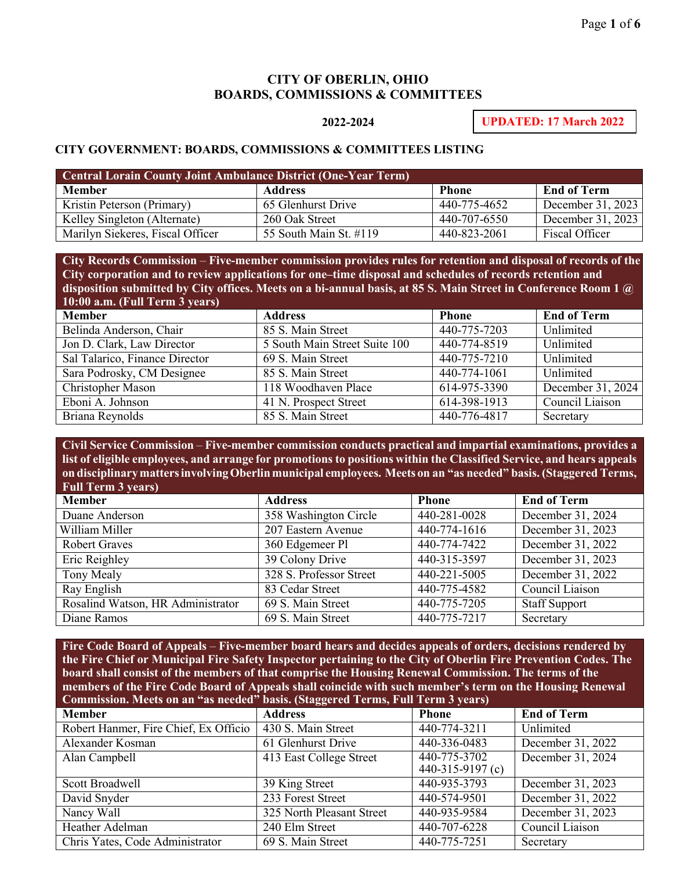## **CITY OF OBERLIN, OHIO BOARDS, COMMISSIONS & COMMITTEES**

## **2022-2024**

**UPDATED: 17 March 2022**

## **CITY GOVERNMENT: BOARDS, COMMISSIONS & COMMITTEES LISTING**

| <b>Central Lorain County Joint Ambulance District (One-Year Term)</b> |                        |              |                    |
|-----------------------------------------------------------------------|------------------------|--------------|--------------------|
| <b>Member</b>                                                         | <b>Address</b>         | <b>Phone</b> | <b>End of Term</b> |
| Kristin Peterson (Primary)                                            | 65 Glenhurst Drive     | 440-775-4652 | December 31, 2023  |
| Kelley Singleton (Alternate)                                          | 260 Oak Street         | 440-707-6550 | December 31, 2023  |
| Marilyn Siekeres, Fiscal Officer                                      | 55 South Main St. #119 | 440-823-2061 | Fiscal Officer     |

**City Records Commission** – **Five-member commission provides rules for retention and disposal of records of the City corporation and to review applications for one–time disposal and schedules of records retention and disposition submitted by City offices. Meets on a bi-annual basis, at 85 S. Main Street in Conference Room 1 @ 10:00 a.m. (Full Term 3 years)**

| <b>Member</b>                  | <b>Address</b>                | <b>Phone</b> | <b>End of Term</b> |
|--------------------------------|-------------------------------|--------------|--------------------|
| Belinda Anderson, Chair        | 85 S. Main Street             | 440-775-7203 | Unlimited          |
| Jon D. Clark, Law Director     | 5 South Main Street Suite 100 | 440-774-8519 | Unlimited          |
| Sal Talarico, Finance Director | 69 S. Main Street             | 440-775-7210 | Unlimited          |
| Sara Podrosky, CM Designee     | 85 S. Main Street             | 440-774-1061 | Unlimited          |
| Christopher Mason              | 118 Woodhaven Place           | 614-975-3390 | December 31, 2024  |
| Eboni A. Johnson               | 41 N. Prospect Street         | 614-398-1913 | Council Liaison    |
| Briana Reynolds                | 85 S. Main Street             | 440-776-4817 | Secretary          |

**Civil Service Commission** – **Five-member commission conducts practical and impartial examinations, provides a**  list of eligible employees, and arrange for promotions to positions within the Classified Service, and hears appeals **on disciplinarymattersinvolvingOberlinmunicipal employees. Meets on an "as needed" basis. (Staggered Terms, Full Term 3 years)**

| <b>Member</b>                     | <b>Address</b>          | <b>Phone</b> | <b>End of Term</b>   |
|-----------------------------------|-------------------------|--------------|----------------------|
| Duane Anderson                    | 358 Washington Circle   | 440-281-0028 | December 31, 2024    |
| William Miller                    | 207 Eastern Avenue      | 440-774-1616 | December 31, 2023    |
| <b>Robert Graves</b>              | 360 Edgemeer Pl         | 440-774-7422 | December 31, 2022    |
| Eric Reighley                     | 39 Colony Drive         | 440-315-3597 | December 31, 2023    |
| Tony Mealy                        | 328 S. Professor Street | 440-221-5005 | December 31, 2022    |
| Ray English                       | 83 Cedar Street         | 440-775-4582 | Council Liaison      |
| Rosalind Watson, HR Administrator | 69 S. Main Street       | 440-775-7205 | <b>Staff Support</b> |
| Diane Ramos                       | 69 S. Main Street       | 440-775-7217 | Secretary            |

**Fire Code Board of Appeals** – **Five-member board hears and decides appeals of orders, decisions rendered by the Fire Chief or Municipal Fire Safety Inspector pertaining to the City of Oberlin Fire Prevention Codes. The board shall consist of the members of that comprise the Housing Renewal Commission. The terms of the members of the Fire Code Board of Appeals shall coincide with such member's term on the Housing Renewal Commission. Meets on an "as needed" basis. (Staggered Terms, Full Term 3 years)**

| Commission, aleves on an was needed basis, proggered forms, fair ferm $\epsilon$ years) |                           |                  |                    |
|-----------------------------------------------------------------------------------------|---------------------------|------------------|--------------------|
| <b>Member</b>                                                                           | <b>Address</b>            | <b>Phone</b>     | <b>End of Term</b> |
| Robert Hanmer, Fire Chief, Ex Officio                                                   | 430 S. Main Street        | 440-774-3211     | Unlimited          |
| Alexander Kosman                                                                        | 61 Glenhurst Drive        | 440-336-0483     | December 31, 2022  |
| Alan Campbell                                                                           | 413 East College Street   | 440-775-3702     | December 31, 2024  |
|                                                                                         |                           | 440-315-9197 (c) |                    |
| Scott Broadwell                                                                         | 39 King Street            | 440-935-3793     | December 31, 2023  |
| David Snyder                                                                            | 233 Forest Street         | 440-574-9501     | December 31, 2022  |
| Nancy Wall                                                                              | 325 North Pleasant Street | 440-935-9584     | December 31, 2023  |
| Heather Adelman                                                                         | 240 Elm Street            | 440-707-6228     | Council Liaison    |
| Chris Yates, Code Administrator                                                         | 69 S. Main Street         | 440-775-7251     | Secretary          |
|                                                                                         |                           |                  |                    |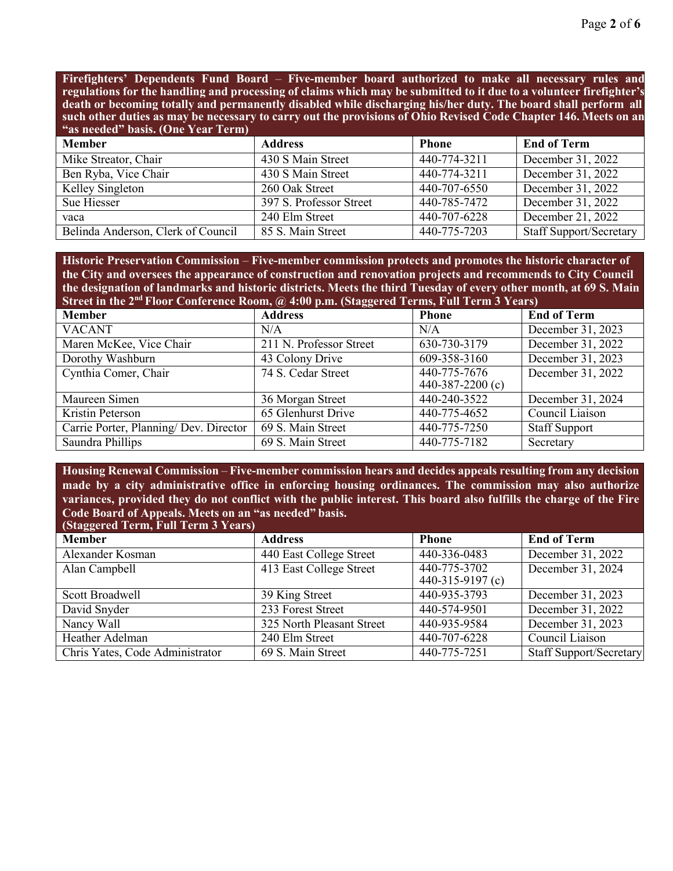**Firefighters' Dependents Fund Board** – **Five-member board authorized to make all necessary rules and**  regulations for the handling and processing of claims which may be submitted to it due to a volunteer firefighter's **death or becoming totally and permanently disabled while discharging his/her duty. The board shall perform all** such other duties as may be necessary to carry out the provisions of Ohio Revised Code Chapter 146. Meets on an **"as needed" basis. (One Year Term)**

| <b>Member</b>                      | <b>Address</b>          | <b>Phone</b> | <b>End of Term</b>             |
|------------------------------------|-------------------------|--------------|--------------------------------|
| Mike Streator, Chair               | 430 S Main Street       | 440-774-3211 | December 31, 2022              |
| Ben Ryba, Vice Chair               | 430 S Main Street       | 440-774-3211 | December 31, 2022              |
| Kelley Singleton                   | 260 Oak Street          | 440-707-6550 | December 31, 2022              |
| Sue Hiesser                        | 397 S. Professor Street | 440-785-7472 | December 31, 2022              |
| vaca                               | 240 Elm Street          | 440-707-6228 | December 21, 2022              |
| Belinda Anderson, Clerk of Council | 85 S. Main Street       | 440-775-7203 | <b>Staff Support/Secretary</b> |

**Historic Preservation Commission** – **Five-member commission protects and promotes the historic character of the City and oversees the appearance of construction and renovation projects and recommends to City Council the designation of landmarks and historic districts. Meets the third Tuesday of every other month, at 69 S. Main Street in the 2nd Floor Conference Room, @ 4:00 p.m. (Staggered Terms, Full Term 3 Years)**

| <b>Member</b>                          | <b>Address</b>          | <b>Phone</b>              | <b>End of Term</b>   |
|----------------------------------------|-------------------------|---------------------------|----------------------|
| <b>VACANT</b>                          | N/A                     | N/A                       | December 31, 2023    |
| Maren McKee, Vice Chair                | 211 N. Professor Street | 630-730-3179              | December 31, 2022    |
| Dorothy Washburn                       | 43 Colony Drive         | 609-358-3160              | December 31, 2023    |
| Cynthia Comer, Chair                   | 74 S. Cedar Street      | 440-775-7676              | December 31, 2022    |
|                                        |                         | 440-387-2200 $(c)$        |                      |
| Maureen Simen                          | 36 Morgan Street        | $\overline{440-240-3522}$ | December 31, 2024    |
| Kristin Peterson                       | 65 Glenhurst Drive      | 440-775-4652              | Council Liaison      |
| Carrie Porter, Planning/ Dev. Director | 69 S. Main Street       | 440-775-7250              | <b>Staff Support</b> |
| Saundra Phillips                       | 69 S. Main Street       | 440-775-7182              | Secretary            |

**Housing Renewal Commission** – **Five-member commission hears and decides appeals resulting from any decision made by a city administrative office in enforcing housing ordinances. The commission may also authorize variances, provided they do not conflict with the public interest. This board also fulfills the charge of the Fire Code Board of Appeals. Meets on an "as needed" basis. (Staggered Term, Full Term 3 Years)**

| $\beta$ uaggereu Term, Fun Term $\sigma$ Tears |                           |                  |                         |
|------------------------------------------------|---------------------------|------------------|-------------------------|
| <b>Member</b>                                  | <b>Address</b>            | <b>Phone</b>     | <b>End of Term</b>      |
| Alexander Kosman                               | 440 East College Street   | 440-336-0483     | December 31, 2022       |
| Alan Campbell                                  | 413 East College Street   | 440-775-3702     | December 31, 2024       |
|                                                |                           | 440-315-9197 (c) |                         |
| Scott Broadwell                                | 39 King Street            | 440-935-3793     | December 31, 2023       |
| David Snyder                                   | 233 Forest Street         | 440-574-9501     | December 31, 2022       |
| Nancy Wall                                     | 325 North Pleasant Street | 440-935-9584     | December 31, 2023       |
| Heather Adelman                                | 240 Elm Street            | 440-707-6228     | Council Liaison         |
| Chris Yates, Code Administrator                | 69 S. Main Street         | 440-775-7251     | Staff Support/Secretary |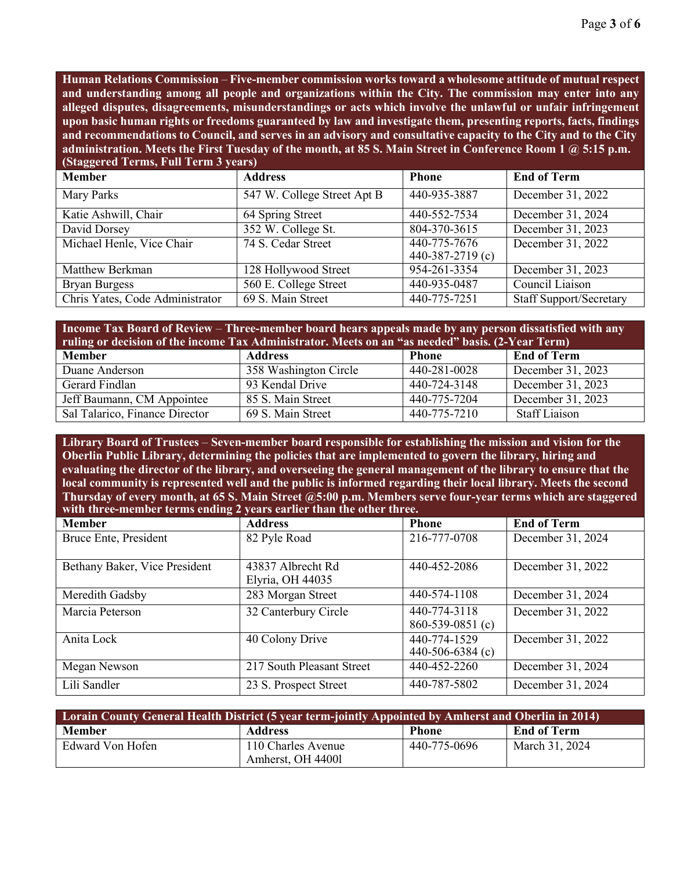**Human Relations Commission** – **Five-member commission works toward a wholesome attitude of mutual respect and understanding among all people and organizations within the City. The commission may enter into any alleged disputes, disagreements, misunderstandings or acts which involve the unlawful or unfair infringement upon basic human rights or freedoms guaranteed by law and investigate them, presenting reports, facts, findings**  and recommendations to Council, and serves in an advisory and consultative capacity to the City and to the City **administration. Meets the First Tuesday of the month, at 85 S. Main Street in Conference Room 1 @ 5:15 p.m. (Staggered Terms, Full Term 3 years)**

| <b>Member</b>                   | <b>Address</b>              | <b>Phone</b>                     | <b>End of Term</b>             |
|---------------------------------|-----------------------------|----------------------------------|--------------------------------|
| Mary Parks                      | 547 W. College Street Apt B | 440-935-3887                     | December 31, 2022              |
| Katie Ashwill, Chair            | 64 Spring Street            | 440-552-7534                     | December 31, 2024              |
| David Dorsey                    | 352 W. College St.          | 804-370-3615                     | December 31, 2023              |
| Michael Henle, Vice Chair       | 74 S. Cedar Street          | 440-775-7676<br>440-387-2719 (c) | December 31, 2022              |
| Matthew Berkman                 | 128 Hollywood Street        | 954-261-3354                     | December 31, 2023              |
| <b>Bryan Burgess</b>            | 560 E. College Street       | 440-935-0487                     | Council Liaison                |
| Chris Yates, Code Administrator | 69 S. Main Street           | 440-775-7251                     | <b>Staff Support/Secretary</b> |

| <b>Income Tax Board of Review – Three-member board hears appeals made by any person dissatisfied with any</b><br>ruling or decision of the income Tax Administrator. Meets on an "as needed" basis. (2-Year Term) |                       |              |                      |
|-------------------------------------------------------------------------------------------------------------------------------------------------------------------------------------------------------------------|-----------------------|--------------|----------------------|
| <b>Member</b>                                                                                                                                                                                                     | <b>Address</b>        | <b>Phone</b> | <b>End of Term</b>   |
| Duane Anderson                                                                                                                                                                                                    | 358 Washington Circle | 440-281-0028 | December 31, 2023    |
| Gerard Findlan                                                                                                                                                                                                    | 93 Kendal Drive       | 440-724-3148 | December 31, 2023    |
| Jeff Baumann, CM Appointee                                                                                                                                                                                        | 85 S. Main Street     | 440-775-7204 | December 31, 2023    |
| Sal Talarico, Finance Director                                                                                                                                                                                    | 69 S. Main Street     | 440-775-7210 | <b>Staff Liaison</b> |

**Library Board of Trustees** – **Seven-member board responsible for establishing the mission and vision for the Oberlin Public Library, determining the policies that are implemented to govern the library, hiring and evaluating the director of the library, and overseeing the general management of the library to ensure that the local community is represented well and the public is informed regarding their local library. Meets the second Thursday of every month, at 65 S. Main Street @5:00 p.m. Members serve four-year terms which are staggered with three-member terms ending 2 years earlier than the other three.**

| <b>Member</b>                 | <b>Address</b>            | <b>Phone</b>     | <b>End of Term</b> |
|-------------------------------|---------------------------|------------------|--------------------|
| Bruce Ente, President         | 82 Pyle Road              | 216-777-0708     | December 31, 2024  |
|                               |                           |                  |                    |
| Bethany Baker, Vice President | 43837 Albrecht Rd         | 440-452-2086     | December 31, 2022  |
|                               | Elyria, OH 44035          |                  |                    |
| Meredith Gadsby               | 283 Morgan Street         | 440-574-1108     | December 31, 2024  |
| Marcia Peterson               | 32 Canterbury Circle      | 440-774-3118     | December 31, 2022  |
|                               |                           | 860-539-0851 (c) |                    |
| Anita Lock                    | 40 Colony Drive           | 440-774-1529     | December 31, 2022  |
|                               |                           | 440-506-6384 (c) |                    |
| Megan Newson                  | 217 South Pleasant Street | 440-452-2260     | December 31, 2024  |
| Lili Sandler                  | 23 S. Prospect Street     | 440-787-5802     | December 31, 2024  |

| Lorain County General Health District (5 year term-jointly Appointed by Amherst and Oberlin in 2014) |                                         |              |                    |
|------------------------------------------------------------------------------------------------------|-----------------------------------------|--------------|--------------------|
| <b>Member</b>                                                                                        | <b>Address</b>                          | <b>Phone</b> | <b>End of Term</b> |
| Edward Von Hofen                                                                                     | 110 Charles Avenue<br>Amherst, OH 44001 | 440-775-0696 | March 31, 2024     |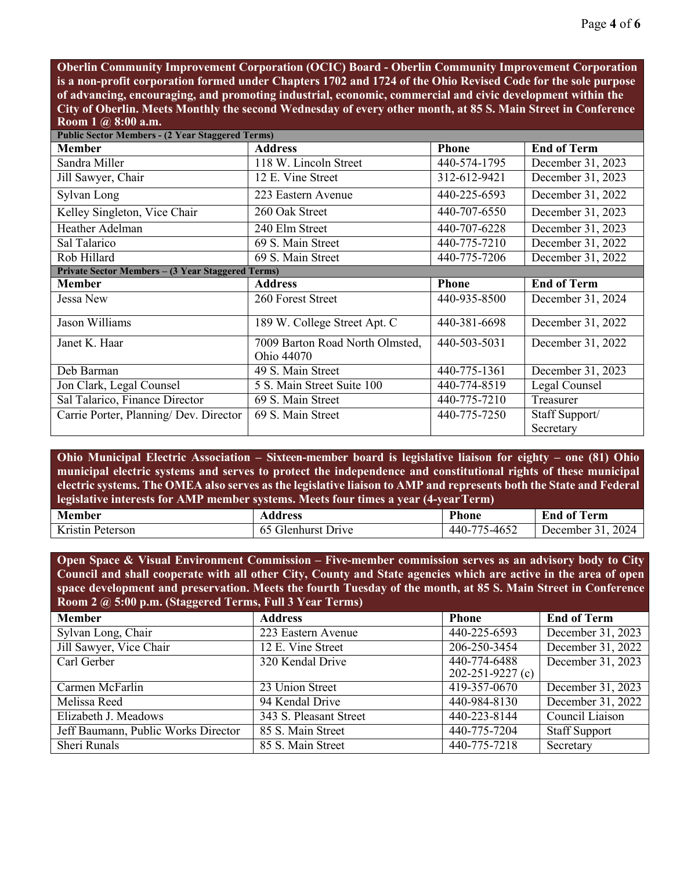**Oberlin Community Improvement Corporation (OCIC) Board - Oberlin Community Improvement Corporation is a non-profit corporation formed under Chapters 1702 and 1724 of the Ohio Revised Code for the sole purpose of advancing, encouraging, and promoting industrial, economic, commercial and civic development within the City of Oberlin. Meets Monthly the second Wednesday of every other month, at 85 S. Main Street in Conference Room 1 @ 8:00 a.m.**

| <b>Public Sector Members - (2 Year Staggered Terms)</b>  |                                               |              |                    |
|----------------------------------------------------------|-----------------------------------------------|--------------|--------------------|
| <b>Member</b>                                            | <b>Address</b>                                | <b>Phone</b> | <b>End of Term</b> |
| Sandra Miller                                            | 118 W. Lincoln Street                         | 440-574-1795 | December 31, 2023  |
| Jill Sawyer, Chair                                       | 12 E. Vine Street                             | 312-612-9421 | December 31, 2023  |
| Sylvan Long                                              | 223 Eastern Avenue                            | 440-225-6593 | December 31, 2022  |
| Kelley Singleton, Vice Chair                             | 260 Oak Street                                | 440-707-6550 | December 31, 2023  |
| Heather Adelman                                          | 240 Elm Street                                | 440-707-6228 | December 31, 2023  |
| Sal Talarico                                             | 69 S. Main Street                             | 440-775-7210 | December 31, 2022  |
| Rob Hillard                                              | 69 S. Main Street                             | 440-775-7206 | December 31, 2022  |
| <b>Private Sector Members - (3 Year Staggered Terms)</b> |                                               |              |                    |
| <b>Member</b>                                            | <b>Address</b>                                | <b>Phone</b> | <b>End of Term</b> |
| Jessa New                                                | 260 Forest Street                             | 440-935-8500 | December 31, 2024  |
| Jason Williams                                           | 189 W. College Street Apt. C                  | 440-381-6698 | December 31, 2022  |
| Janet K. Haar                                            | 7009 Barton Road North Olmsted,<br>Ohio 44070 | 440-503-5031 | December 31, 2022  |
| Deb Barman                                               | 49 S. Main Street                             | 440-775-1361 | December 31, 2023  |
| Jon Clark, Legal Counsel                                 | 5 S. Main Street Suite 100                    | 440-774-8519 | Legal Counsel      |
| Sal Talarico, Finance Director                           | 69 S. Main Street                             | 440-775-7210 | Treasurer          |
| Carrie Porter, Planning/ Dev. Director                   | 69 S. Main Street                             | 440-775-7250 | Staff Support/     |
|                                                          |                                               |              | Secretary          |

**Ohio Municipal Electric Association – Sixteen-member board is legislative liaison for eighty – one (81) Ohio municipal electric systems and serves to protect the independence and constitutional rights of these municipal**  electric systems. The OMEA also serves as the legislative liaison to AMP and represents both the State and Federal **legislative interests for AMP member systems. Meets four times a year (4-yearTerm)**

| <b>Member</b>                          | Address                  | <b>Phone</b>                               | $\mathbf{a}$<br>-End of<br>erm |
|----------------------------------------|--------------------------|--------------------------------------------|--------------------------------|
| $\mathbf{r}$ .<br>K ristin<br>Peterson | Filenhurst Drive<br>- 0. | 5-4652<br>$\overline{\phantom{m}}$<br>440- | 2024<br>December               |

**Open Space & Visual Environment Commission – Five-member commission serves as an advisory body to City Council and shall cooperate with all other City, County and State agencies which are active in the area of open space development and preservation. Meets the fourth Tuesday of the month, at 85 S. Main Street in Conference Room 2 @ 5:00 p.m. (Staggered Terms, Full 3 Year Terms)**

| <b>Member</b>                       | <b>Address</b>         | <b>Phone</b>           | <b>End of Term</b>   |
|-------------------------------------|------------------------|------------------------|----------------------|
| Sylvan Long, Chair                  | 223 Eastern Avenue     | 440-225-6593           | December 31, 2023    |
| Jill Sawyer, Vice Chair             | 12 E. Vine Street      | 206-250-3454           | December 31, 2022    |
| Carl Gerber                         | 320 Kendal Drive       | 440-774-6488           | December 31, 2023    |
|                                     |                        | $202 - 251 - 9227$ (c) |                      |
| Carmen McFarlin                     | 23 Union Street        | 419-357-0670           | December 31, 2023    |
| Melissa Reed                        | 94 Kendal Drive        | 440-984-8130           | December 31, 2022    |
| Elizabeth J. Meadows                | 343 S. Pleasant Street | 440-223-8144           | Council Liaison      |
| Jeff Baumann, Public Works Director | 85 S. Main Street      | 440-775-7204           | <b>Staff Support</b> |
| Sheri Runals                        | 85 S. Main Street      | 440-775-7218           | Secretary            |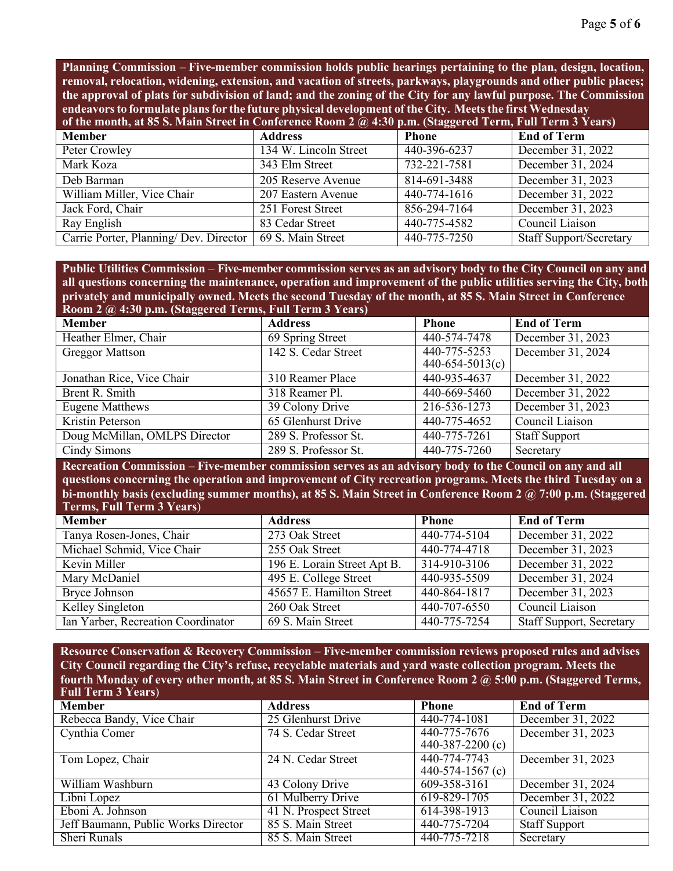**Planning Commission** – **Five-member commission holds public hearings pertaining to the plan, design, location, removal, relocation, widening, extension, and vacation of streets, parkways, playgrounds and other public places; the approval of plats for subdivision of land; and the zoning of the City for any lawful purpose. The Commission endeavorsto formulate plansfor the future physical development of the City. Meetsthe first Wednesday of the month, at 85 S. Main Street in Conference Room 2 @ 4:30 p.m. (Staggered Term, Full Term 3 Years)**

| of the month, at $\omega$ of branch offer in Content chee require $w_j$ not pain (staggered fermi) fair ferm $\omega$ fears) |                       |              |                                |  |
|------------------------------------------------------------------------------------------------------------------------------|-----------------------|--------------|--------------------------------|--|
| <b>Member</b>                                                                                                                | <b>Address</b>        | <b>Phone</b> | <b>End of Term</b>             |  |
| Peter Crowley                                                                                                                | 134 W. Lincoln Street | 440-396-6237 | December 31, 2022              |  |
| Mark Koza                                                                                                                    | 343 Elm Street        | 732-221-7581 | December 31, 2024              |  |
| Deb Barman                                                                                                                   | 205 Reserve Avenue    | 814-691-3488 | December 31, 2023              |  |
| William Miller, Vice Chair                                                                                                   | 207 Eastern Avenue    | 440-774-1616 | December 31, 2022              |  |
| Jack Ford, Chair                                                                                                             | 251 Forest Street     | 856-294-7164 | December 31, 2023              |  |
| Ray English                                                                                                                  | 83 Cedar Street       | 440-775-4582 | Council Liaison                |  |
| Carrie Porter, Planning/ Dev. Director                                                                                       | 69 S. Main Street     | 440-775-7250 | <b>Staff Support/Secretary</b> |  |

**Public Utilities Commission** – **Five-member commission serves as an advisory body to the City Council on any and all questions concerning the maintenance, operation and improvement of the public utilities serving the City, both privately and municipally owned. Meets the second Tuesday of the month, at 85 S. Main Street in Conference Room 2 @ 4:30 p.m. (Staggered Terms, Full Term 3 Years)**

| Robin $2 \mu$ , $\pi$ . Jo p.m. (Stagger cu Terms, Fun Term J Tears) |                      |                                   |                      |
|----------------------------------------------------------------------|----------------------|-----------------------------------|----------------------|
| <b>Member</b>                                                        | <b>Address</b>       | <b>Phone</b>                      | <b>End of Term</b>   |
| Heather Elmer, Chair                                                 | 69 Spring Street     | 440-574-7478                      | December 31, 2023    |
| <b>Greggor Mattson</b>                                               | 142 S. Cedar Street  | 440-775-5253<br>$440-654-5013(c)$ | December 31, 2024    |
| Jonathan Rice, Vice Chair                                            | 310 Reamer Place     | 440-935-4637                      | December 31, 2022    |
| Brent R. Smith                                                       | 318 Reamer Pl.       | 440-669-5460                      | December 31, 2022    |
| <b>Eugene Matthews</b>                                               | 39 Colony Drive      | 216-536-1273                      | December 31, 2023    |
| Kristin Peterson                                                     | 65 Glenhurst Drive   | 440-775-4652                      | Council Liaison      |
| Doug McMillan, OMLPS Director                                        | 289 S. Professor St. | 440-775-7261                      | <b>Staff Support</b> |
| Cindy Simons                                                         | 289 S. Professor St. | 440-775-7260                      | Secretary            |

**Recreation Commission** – **Five-member commission serves as an advisory body to the Council on any and all questions concerning the operation and improvement of City recreation programs. Meets the third Tuesday on a bi-monthly basis (excluding summer months), at 85 S. Main Street in Conference Room 2 @ 7:00 p.m. (Staggered Terms, Full Term 3 Years**)

| <b>Member</b>                      | <b>Address</b>              | <b>Phone</b> | <b>End of Term</b>              |
|------------------------------------|-----------------------------|--------------|---------------------------------|
| Tanya Rosen-Jones, Chair           | 273 Oak Street              | 440-774-5104 | December 31, 2022               |
| Michael Schmid, Vice Chair         | 255 Oak Street              | 440-774-4718 | December 31, 2023               |
| Kevin Miller                       | 196 E. Lorain Street Apt B. | 314-910-3106 | December 31, 2022               |
| Mary McDaniel                      | 495 E. College Street       | 440-935-5509 | December 31, 2024               |
| Bryce Johnson                      | 45657 E. Hamilton Street    | 440-864-1817 | December 31, 2023               |
| Kelley Singleton                   | 260 Oak Street              | 440-707-6550 | Council Liaison                 |
| Ian Yarber, Recreation Coordinator | 69 S. Main Street           | 440-775-7254 | <b>Staff Support, Secretary</b> |

**Resource Conservation & Recovery Commission** – **Five-member commission reviews proposed rules and advises City Council regarding the City's refuse, recyclable materials and yard waste collection program. Meets the fourth Monday of every other month, at 85 S. Main Street in Conference Room 2 @ 5:00 p.m. (Staggered Terms, Full Term 3 Years**)

| <b>Member</b>                       | <b>Address</b>        | <b>Phone</b>       | <b>End of Term</b>   |
|-------------------------------------|-----------------------|--------------------|----------------------|
| Rebecca Bandy, Vice Chair           | 25 Glenhurst Drive    | 440-774-1081       | December 31, 2022    |
| Cynthia Comer                       | 74 S. Cedar Street    | 440-775-7676       | December 31, 2023    |
|                                     |                       | 440-387-2200 $(c)$ |                      |
| Tom Lopez, Chair                    | 24 N. Cedar Street    | 440-774-7743       | December 31, 2023    |
|                                     |                       | 440-574-1567 $(c)$ |                      |
| William Washburn                    | 43 Colony Drive       | 609-358-3161       | December 31, 2024    |
| Libni Lopez                         | 61 Mulberry Drive     | 619-829-1705       | December 31, 2022    |
| Eboni A. Johnson                    | 41 N. Prospect Street | 614-398-1913       | Council Liaison      |
| Jeff Baumann, Public Works Director | 85 S. Main Street     | 440-775-7204       | <b>Staff Support</b> |
| Sheri Runals                        | 85 S. Main Street     | 440-775-7218       | Secretary            |